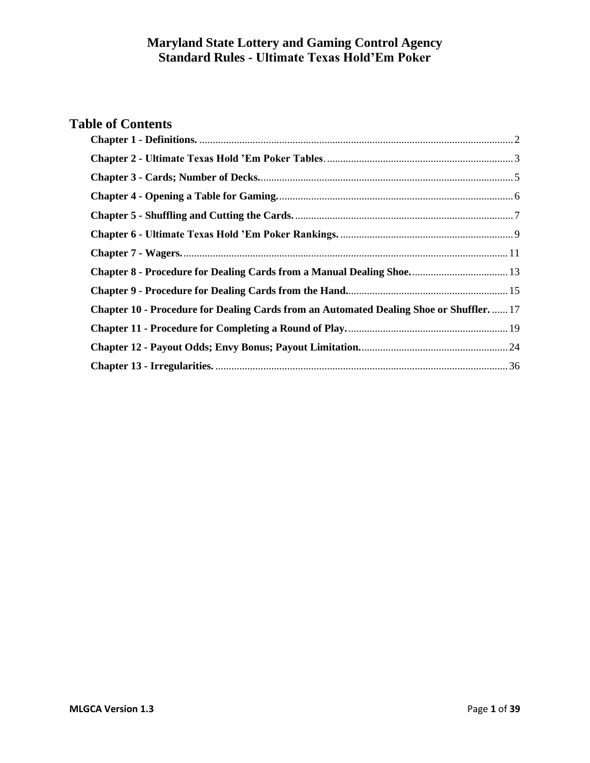# **Table of Contents**

<span id="page-0-0"></span>

| Chapter 8 - Procedure for Dealing Cards from a Manual Dealing Shoe 13                  |
|----------------------------------------------------------------------------------------|
|                                                                                        |
| Chapter 10 - Procedure for Dealing Cards from an Automated Dealing Shoe or Shuffler 17 |
|                                                                                        |
|                                                                                        |
|                                                                                        |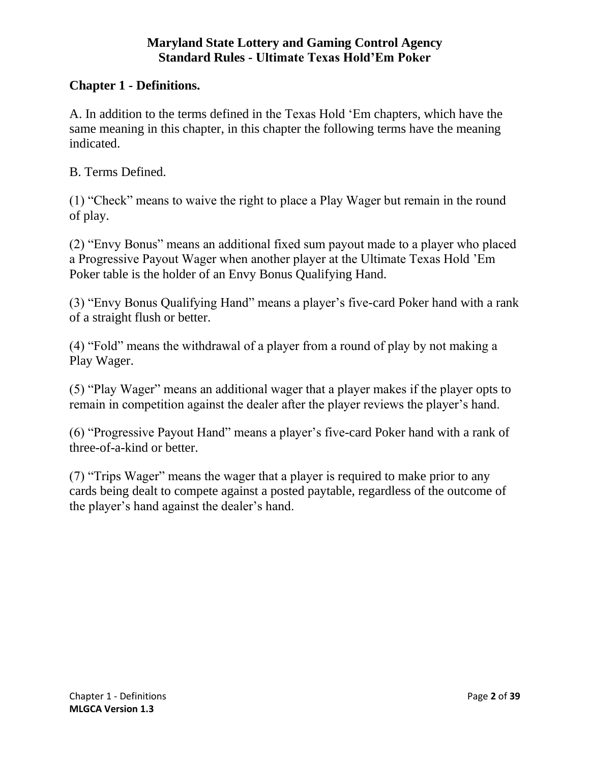#### **Chapter 1 - Definitions.**

A. In addition to the terms defined in the Texas Hold 'Em chapters, which have the same meaning in this chapter, in this chapter the following terms have the meaning indicated.

B. Terms Defined.

(1) "Check" means to waive the right to place a Play Wager but remain in the round of play.

(2) "Envy Bonus" means an additional fixed sum payout made to a player who placed a Progressive Payout Wager when another player at the Ultimate Texas Hold 'Em Poker table is the holder of an Envy Bonus Qualifying Hand.

(3) "Envy Bonus Qualifying Hand" means a player's five-card Poker hand with a rank of a straight flush or better.

(4) "Fold" means the withdrawal of a player from a round of play by not making a Play Wager.

(5) "Play Wager" means an additional wager that a player makes if the player opts to remain in competition against the dealer after the player reviews the player's hand.

(6) "Progressive Payout Hand" means a player's five-card Poker hand with a rank of three-of-a-kind or better.

<span id="page-1-0"></span>(7) "Trips Wager" means the wager that a player is required to make prior to any cards being dealt to compete against a posted paytable, regardless of the outcome of the player's hand against the dealer's hand.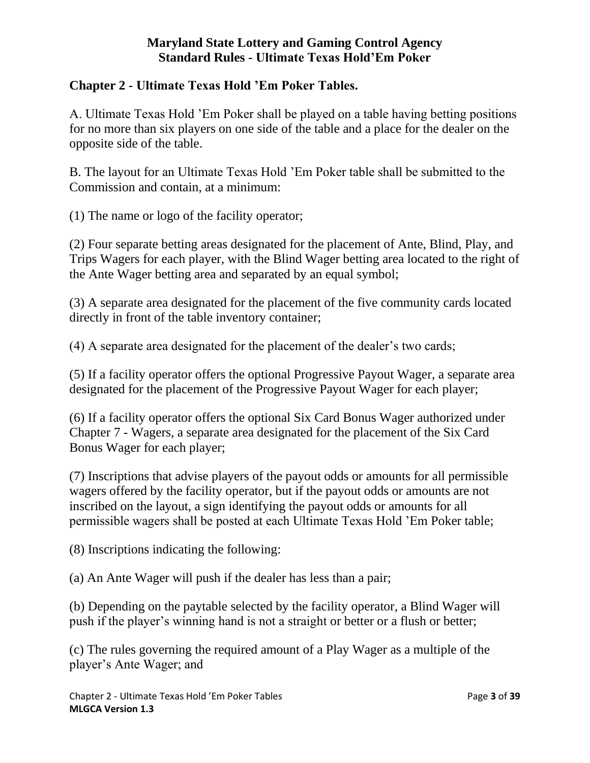## **Chapter 2 - Ultimate Texas Hold 'Em Poker Tables.**

A. Ultimate Texas Hold 'Em Poker shall be played on a table having betting positions for no more than six players on one side of the table and a place for the dealer on the opposite side of the table.

B. The layout for an Ultimate Texas Hold 'Em Poker table shall be submitted to the Commission and contain, at a minimum:

(1) The name or logo of the facility operator;

(2) Four separate betting areas designated for the placement of Ante, Blind, Play, and Trips Wagers for each player, with the Blind Wager betting area located to the right of the Ante Wager betting area and separated by an equal symbol;

(3) A separate area designated for the placement of the five community cards located directly in front of the table inventory container;

(4) A separate area designated for the placement of the dealer's two cards;

(5) If a facility operator offers the optional Progressive Payout Wager, a separate area designated for the placement of the Progressive Payout Wager for each player;

(6) If a facility operator offers the optional Six Card Bonus Wager authorized under Chapter 7 - Wagers, a separate area designated for the placement of the Six Card Bonus Wager for each player;

(7) Inscriptions that advise players of the payout odds or amounts for all permissible wagers offered by the facility operator, but if the payout odds or amounts are not inscribed on the layout, a sign identifying the payout odds or amounts for all permissible wagers shall be posted at each Ultimate Texas Hold 'Em Poker table;

(8) Inscriptions indicating the following:

(a) An Ante Wager will push if the dealer has less than a pair;

(b) Depending on the paytable selected by the facility operator, a Blind Wager will push if the player's winning hand is not a straight or better or a flush or better;

(c) The rules governing the required amount of a Play Wager as a multiple of the player's Ante Wager; and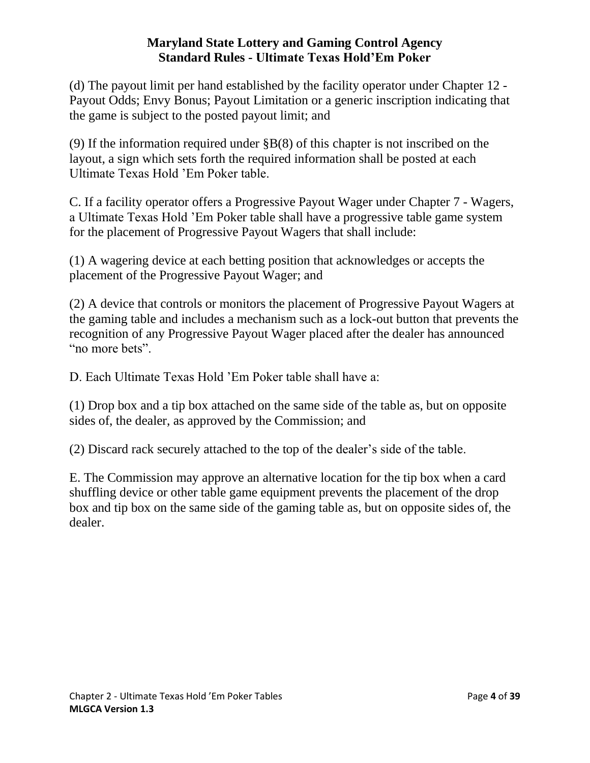(d) The payout limit per hand established by the facility operator under Chapter 12 - Payout Odds; Envy Bonus; Payout Limitation or a generic inscription indicating that the game is subject to the posted payout limit; and

(9) If the information required under §B(8) of this chapter is not inscribed on the layout, a sign which sets forth the required information shall be posted at each Ultimate Texas Hold 'Em Poker table.

C. If a facility operator offers a Progressive Payout Wager under Chapter 7 - Wagers, a Ultimate Texas Hold 'Em Poker table shall have a progressive table game system for the placement of Progressive Payout Wagers that shall include:

(1) A wagering device at each betting position that acknowledges or accepts the placement of the Progressive Payout Wager; and

(2) A device that controls or monitors the placement of Progressive Payout Wagers at the gaming table and includes a mechanism such as a lock-out button that prevents the recognition of any Progressive Payout Wager placed after the dealer has announced "no more bets".

D. Each Ultimate Texas Hold 'Em Poker table shall have a:

(1) Drop box and a tip box attached on the same side of the table as, but on opposite sides of, the dealer, as approved by the Commission; and

(2) Discard rack securely attached to the top of the dealer's side of the table.

<span id="page-3-0"></span>E. The Commission may approve an alternative location for the tip box when a card shuffling device or other table game equipment prevents the placement of the drop box and tip box on the same side of the gaming table as, but on opposite sides of, the dealer.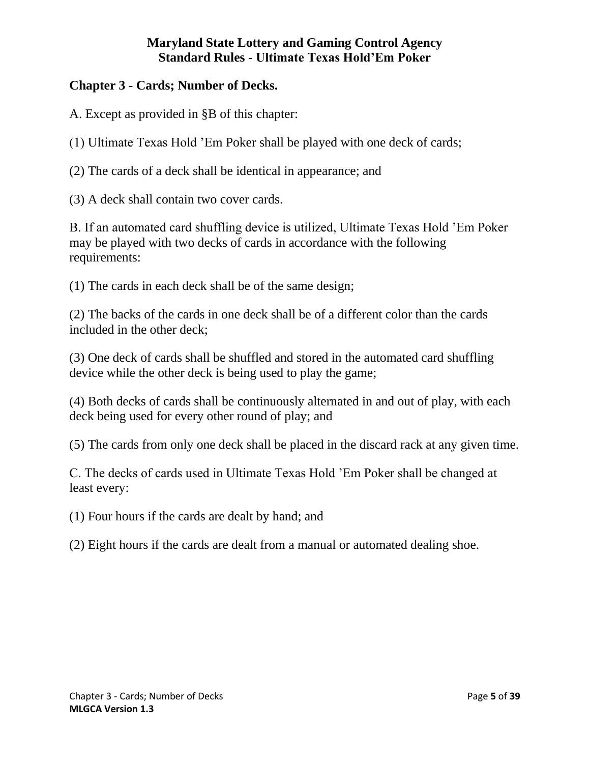## **Chapter 3 - Cards; Number of Decks.**

A. Except as provided in §B of this chapter:

(1) Ultimate Texas Hold 'Em Poker shall be played with one deck of cards;

(2) The cards of a deck shall be identical in appearance; and

(3) A deck shall contain two cover cards.

B. If an automated card shuffling device is utilized, Ultimate Texas Hold 'Em Poker may be played with two decks of cards in accordance with the following requirements:

(1) The cards in each deck shall be of the same design;

(2) The backs of the cards in one deck shall be of a different color than the cards included in the other deck;

(3) One deck of cards shall be shuffled and stored in the automated card shuffling device while the other deck is being used to play the game;

(4) Both decks of cards shall be continuously alternated in and out of play, with each deck being used for every other round of play; and

(5) The cards from only one deck shall be placed in the discard rack at any given time.

C. The decks of cards used in Ultimate Texas Hold 'Em Poker shall be changed at least every:

(1) Four hours if the cards are dealt by hand; and

<span id="page-4-0"></span>(2) Eight hours if the cards are dealt from a manual or automated dealing shoe.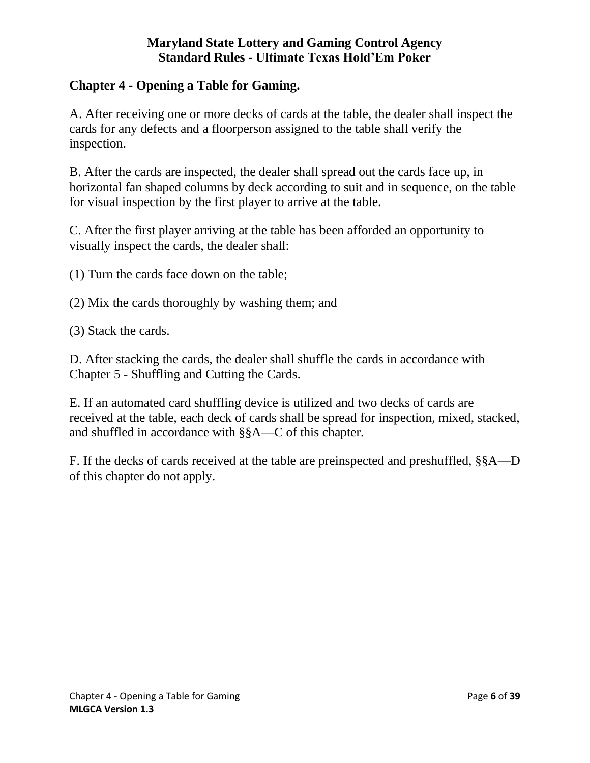### **Chapter 4 - Opening a Table for Gaming.**

A. After receiving one or more decks of cards at the table, the dealer shall inspect the cards for any defects and a floorperson assigned to the table shall verify the inspection.

B. After the cards are inspected, the dealer shall spread out the cards face up, in horizontal fan shaped columns by deck according to suit and in sequence, on the table for visual inspection by the first player to arrive at the table.

C. After the first player arriving at the table has been afforded an opportunity to visually inspect the cards, the dealer shall:

(1) Turn the cards face down on the table;

- (2) Mix the cards thoroughly by washing them; and
- (3) Stack the cards.

D. After stacking the cards, the dealer shall shuffle the cards in accordance with Chapter 5 - Shuffling and Cutting the Cards.

E. If an automated card shuffling device is utilized and two decks of cards are received at the table, each deck of cards shall be spread for inspection, mixed, stacked, and shuffled in accordance with §§A—C of this chapter.

<span id="page-5-0"></span>F. If the decks of cards received at the table are preinspected and preshuffled, §§A—D of this chapter do not apply.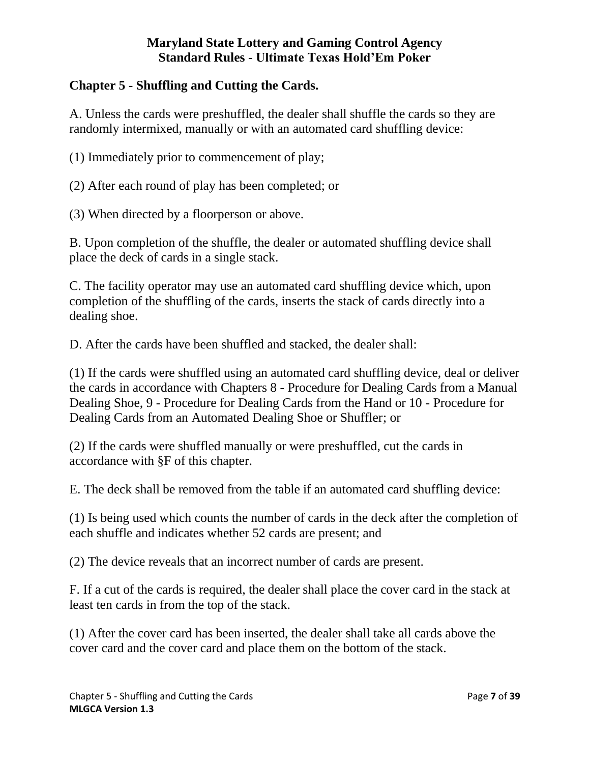## **Chapter 5 - Shuffling and Cutting the Cards.**

A. Unless the cards were preshuffled, the dealer shall shuffle the cards so they are randomly intermixed, manually or with an automated card shuffling device:

(1) Immediately prior to commencement of play;

(2) After each round of play has been completed; or

(3) When directed by a floorperson or above.

B. Upon completion of the shuffle, the dealer or automated shuffling device shall place the deck of cards in a single stack.

C. The facility operator may use an automated card shuffling device which, upon completion of the shuffling of the cards, inserts the stack of cards directly into a dealing shoe.

D. After the cards have been shuffled and stacked, the dealer shall:

(1) If the cards were shuffled using an automated card shuffling device, deal or deliver the cards in accordance with Chapters 8 - Procedure for Dealing Cards from a Manual Dealing Shoe, 9 - Procedure for Dealing Cards from the Hand or 10 - Procedure for Dealing Cards from an Automated Dealing Shoe or Shuffler; or

(2) If the cards were shuffled manually or were preshuffled, cut the cards in accordance with §F of this chapter.

E. The deck shall be removed from the table if an automated card shuffling device:

(1) Is being used which counts the number of cards in the deck after the completion of each shuffle and indicates whether 52 cards are present; and

(2) The device reveals that an incorrect number of cards are present.

F. If a cut of the cards is required, the dealer shall place the cover card in the stack at least ten cards in from the top of the stack.

(1) After the cover card has been inserted, the dealer shall take all cards above the cover card and the cover card and place them on the bottom of the stack.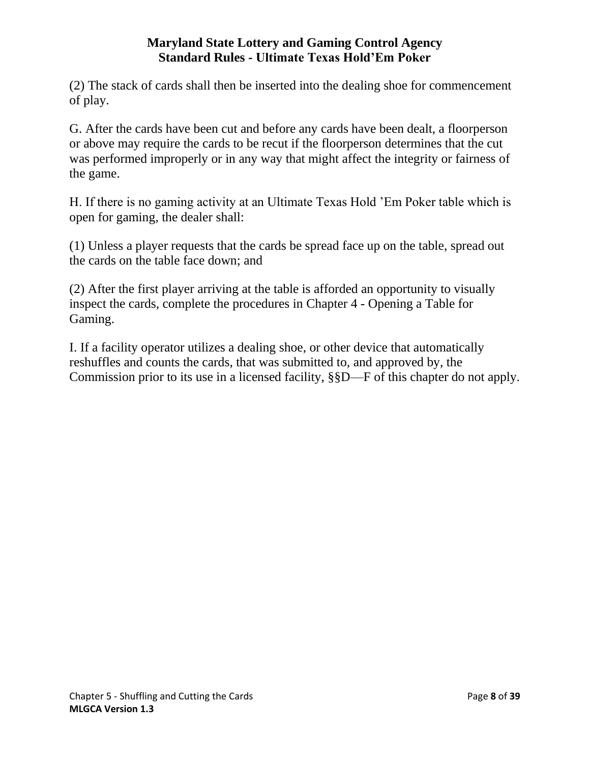(2) The stack of cards shall then be inserted into the dealing shoe for commencement of play.

G. After the cards have been cut and before any cards have been dealt, a floorperson or above may require the cards to be recut if the floorperson determines that the cut was performed improperly or in any way that might affect the integrity or fairness of the game.

H. If there is no gaming activity at an Ultimate Texas Hold 'Em Poker table which is open for gaming, the dealer shall:

(1) Unless a player requests that the cards be spread face up on the table, spread out the cards on the table face down; and

(2) After the first player arriving at the table is afforded an opportunity to visually inspect the cards, complete the procedures in Chapter 4 - Opening a Table for Gaming.

<span id="page-7-0"></span>I. If a facility operator utilizes a dealing shoe, or other device that automatically reshuffles and counts the cards, that was submitted to, and approved by, the Commission prior to its use in a licensed facility, §§D—F of this chapter do not apply.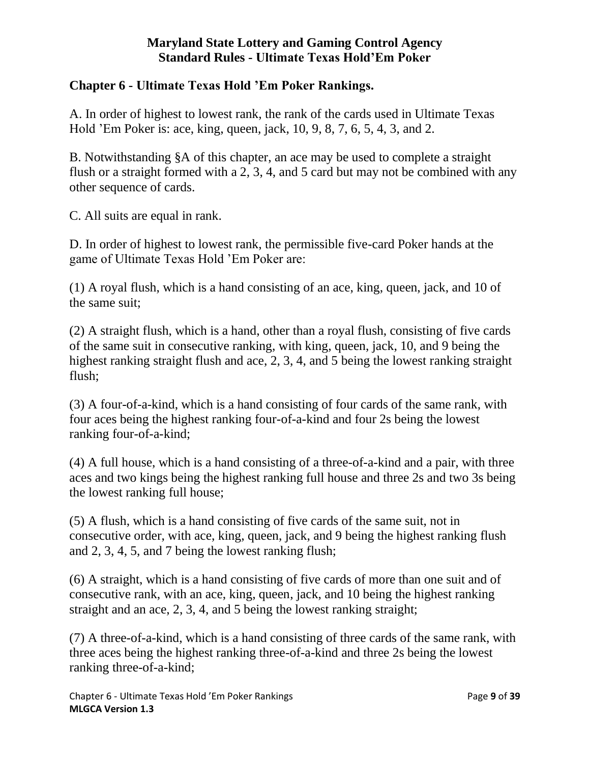### **Chapter 6 - Ultimate Texas Hold 'Em Poker Rankings.**

A. In order of highest to lowest rank, the rank of the cards used in Ultimate Texas Hold 'Em Poker is: ace, king, queen, jack, 10, 9, 8, 7, 6, 5, 4, 3, and 2.

B. Notwithstanding §A of this chapter, an ace may be used to complete a straight flush or a straight formed with a 2, 3, 4, and 5 card but may not be combined with any other sequence of cards.

C. All suits are equal in rank.

D. In order of highest to lowest rank, the permissible five-card Poker hands at the game of Ultimate Texas Hold 'Em Poker are:

(1) A royal flush, which is a hand consisting of an ace, king, queen, jack, and 10 of the same suit;

(2) A straight flush, which is a hand, other than a royal flush, consisting of five cards of the same suit in consecutive ranking, with king, queen, jack, 10, and 9 being the highest ranking straight flush and ace, 2, 3, 4, and 5 being the lowest ranking straight flush;

(3) A four-of-a-kind, which is a hand consisting of four cards of the same rank, with four aces being the highest ranking four-of-a-kind and four 2s being the lowest ranking four-of-a-kind;

(4) A full house, which is a hand consisting of a three-of-a-kind and a pair, with three aces and two kings being the highest ranking full house and three 2s and two 3s being the lowest ranking full house;

(5) A flush, which is a hand consisting of five cards of the same suit, not in consecutive order, with ace, king, queen, jack, and 9 being the highest ranking flush and 2, 3, 4, 5, and 7 being the lowest ranking flush;

(6) A straight, which is a hand consisting of five cards of more than one suit and of consecutive rank, with an ace, king, queen, jack, and 10 being the highest ranking straight and an ace, 2, 3, 4, and 5 being the lowest ranking straight;

(7) A three-of-a-kind, which is a hand consisting of three cards of the same rank, with three aces being the highest ranking three-of-a-kind and three 2s being the lowest ranking three-of-a-kind;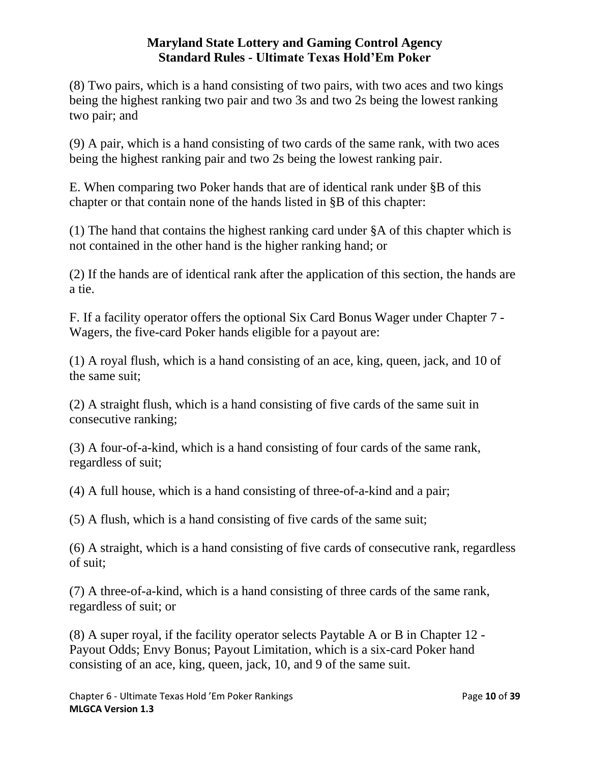(8) Two pairs, which is a hand consisting of two pairs, with two aces and two kings being the highest ranking two pair and two 3s and two 2s being the lowest ranking two pair; and

(9) A pair, which is a hand consisting of two cards of the same rank, with two aces being the highest ranking pair and two 2s being the lowest ranking pair.

E. When comparing two Poker hands that are of identical rank under §B of this chapter or that contain none of the hands listed in §B of this chapter:

(1) The hand that contains the highest ranking card under §A of this chapter which is not contained in the other hand is the higher ranking hand; or

(2) If the hands are of identical rank after the application of this section, the hands are a tie.

F. If a facility operator offers the optional Six Card Bonus Wager under Chapter 7 - Wagers, the five-card Poker hands eligible for a payout are:

(1) A royal flush, which is a hand consisting of an ace, king, queen, jack, and 10 of the same suit;

(2) A straight flush, which is a hand consisting of five cards of the same suit in consecutive ranking;

(3) A four-of-a-kind, which is a hand consisting of four cards of the same rank, regardless of suit;

(4) A full house, which is a hand consisting of three-of-a-kind and a pair;

(5) A flush, which is a hand consisting of five cards of the same suit;

(6) A straight, which is a hand consisting of five cards of consecutive rank, regardless of suit;

(7) A three-of-a-kind, which is a hand consisting of three cards of the same rank, regardless of suit; or

<span id="page-9-0"></span>(8) A super royal, if the facility operator selects Paytable A or B in Chapter 12 - Payout Odds; Envy Bonus; Payout Limitation, which is a six-card Poker hand consisting of an ace, king, queen, jack, 10, and 9 of the same suit.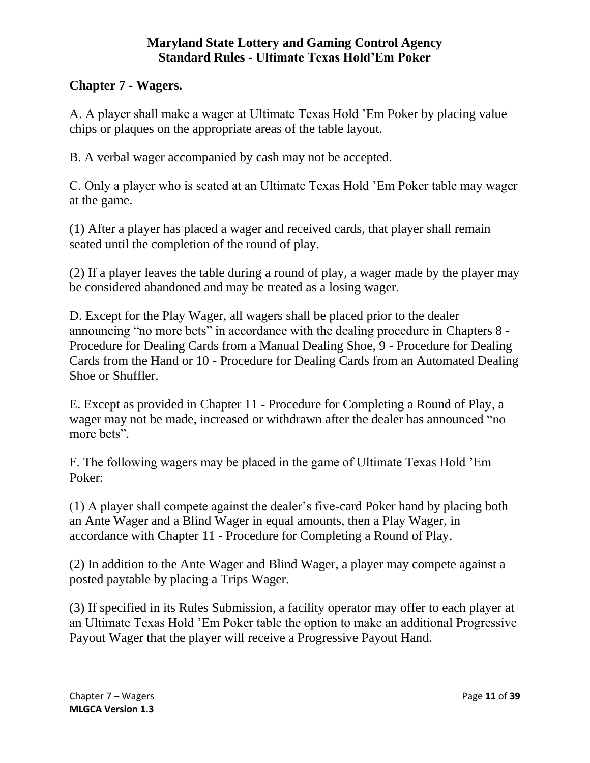### **Chapter 7 - Wagers.**

A. A player shall make a wager at Ultimate Texas Hold 'Em Poker by placing value chips or plaques on the appropriate areas of the table layout.

B. A verbal wager accompanied by cash may not be accepted.

C. Only a player who is seated at an Ultimate Texas Hold 'Em Poker table may wager at the game.

(1) After a player has placed a wager and received cards, that player shall remain seated until the completion of the round of play.

(2) If a player leaves the table during a round of play, a wager made by the player may be considered abandoned and may be treated as a losing wager.

D. Except for the Play Wager, all wagers shall be placed prior to the dealer announcing "no more bets" in accordance with the dealing procedure in Chapters 8 - Procedure for Dealing Cards from a Manual Dealing Shoe, 9 - Procedure for Dealing Cards from the Hand or 10 - Procedure for Dealing Cards from an Automated Dealing Shoe or Shuffler.

E. Except as provided in Chapter 11 - Procedure for Completing a Round of Play, a wager may not be made, increased or withdrawn after the dealer has announced "no more bets".

F. The following wagers may be placed in the game of Ultimate Texas Hold 'Em Poker:

(1) A player shall compete against the dealer's five-card Poker hand by placing both an Ante Wager and a Blind Wager in equal amounts, then a Play Wager, in accordance with Chapter 11 - Procedure for Completing a Round of Play.

(2) In addition to the Ante Wager and Blind Wager, a player may compete against a posted paytable by placing a Trips Wager.

(3) If specified in its Rules Submission, a facility operator may offer to each player at an Ultimate Texas Hold 'Em Poker table the option to make an additional Progressive Payout Wager that the player will receive a Progressive Payout Hand.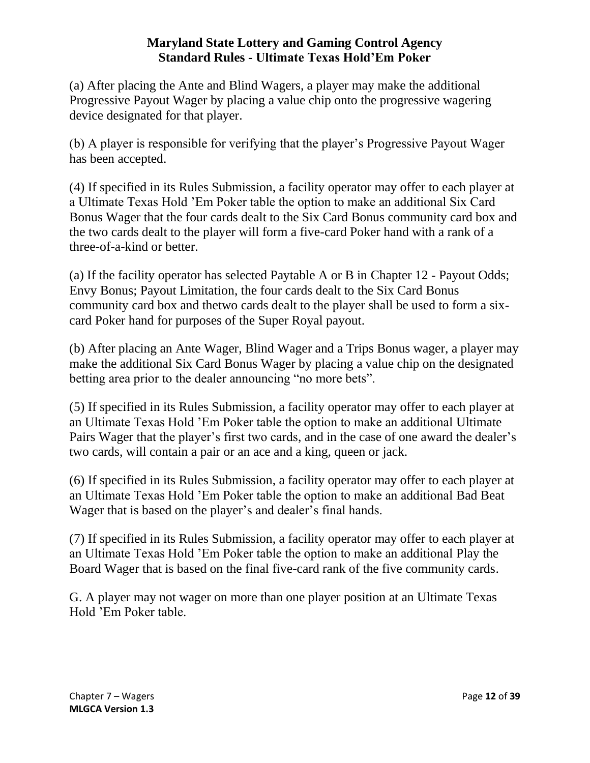(a) After placing the Ante and Blind Wagers, a player may make the additional Progressive Payout Wager by placing a value chip onto the progressive wagering device designated for that player.

(b) A player is responsible for verifying that the player's Progressive Payout Wager has been accepted.

(4) If specified in its Rules Submission, a facility operator may offer to each player at a Ultimate Texas Hold 'Em Poker table the option to make an additional Six Card Bonus Wager that the four cards dealt to the Six Card Bonus community card box and the two cards dealt to the player will form a five-card Poker hand with a rank of a three-of-a-kind or better.

(a) If the facility operator has selected Paytable A or B in Chapter 12 - Payout Odds; Envy Bonus; Payout Limitation, the four cards dealt to the Six Card Bonus community card box and thetwo cards dealt to the player shall be used to form a sixcard Poker hand for purposes of the Super Royal payout.

(b) After placing an Ante Wager, Blind Wager and a Trips Bonus wager, a player may make the additional Six Card Bonus Wager by placing a value chip on the designated betting area prior to the dealer announcing "no more bets".

(5) If specified in its Rules Submission, a facility operator may offer to each player at an Ultimate Texas Hold 'Em Poker table the option to make an additional Ultimate Pairs Wager that the player's first two cards, and in the case of one award the dealer's two cards, will contain a pair or an ace and a king, queen or jack.

(6) If specified in its Rules Submission, a facility operator may offer to each player at an Ultimate Texas Hold 'Em Poker table the option to make an additional Bad Beat Wager that is based on the player's and dealer's final hands.

(7) If specified in its Rules Submission, a facility operator may offer to each player at an Ultimate Texas Hold 'Em Poker table the option to make an additional Play the Board Wager that is based on the final five-card rank of the five community cards.

<span id="page-11-0"></span>G. A player may not wager on more than one player position at an Ultimate Texas Hold 'Em Poker table.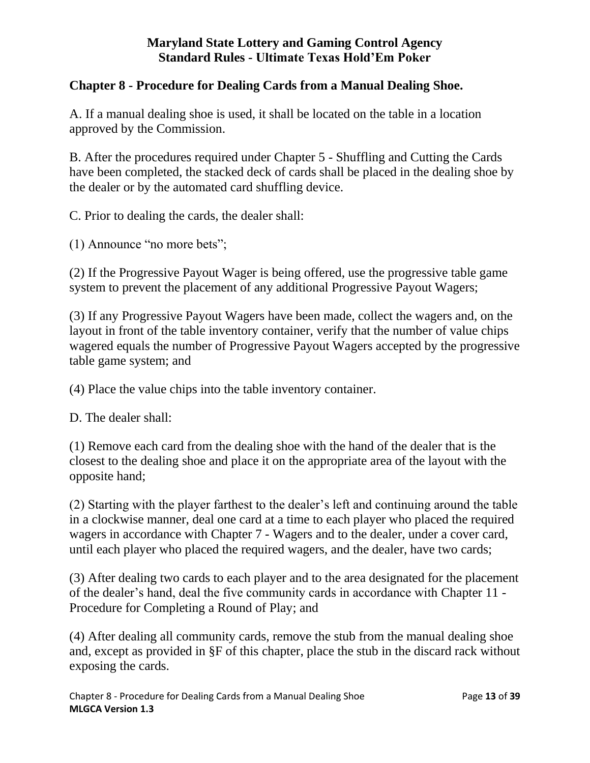### **Chapter 8 - Procedure for Dealing Cards from a Manual Dealing Shoe.**

A. If a manual dealing shoe is used, it shall be located on the table in a location approved by the Commission.

B. After the procedures required under Chapter 5 - Shuffling and Cutting the Cards have been completed, the stacked deck of cards shall be placed in the dealing shoe by the dealer or by the automated card shuffling device.

C. Prior to dealing the cards, the dealer shall:

(1) Announce "no more bets";

(2) If the Progressive Payout Wager is being offered, use the progressive table game system to prevent the placement of any additional Progressive Payout Wagers;

(3) If any Progressive Payout Wagers have been made, collect the wagers and, on the layout in front of the table inventory container, verify that the number of value chips wagered equals the number of Progressive Payout Wagers accepted by the progressive table game system; and

(4) Place the value chips into the table inventory container.

D. The dealer shall:

(1) Remove each card from the dealing shoe with the hand of the dealer that is the closest to the dealing shoe and place it on the appropriate area of the layout with the opposite hand;

(2) Starting with the player farthest to the dealer's left and continuing around the table in a clockwise manner, deal one card at a time to each player who placed the required wagers in accordance with Chapter 7 - Wagers and to the dealer, under a cover card, until each player who placed the required wagers, and the dealer, have two cards;

(3) After dealing two cards to each player and to the area designated for the placement of the dealer's hand, deal the five community cards in accordance with Chapter 11 - Procedure for Completing a Round of Play; and

(4) After dealing all community cards, remove the stub from the manual dealing shoe and, except as provided in §F of this chapter, place the stub in the discard rack without exposing the cards.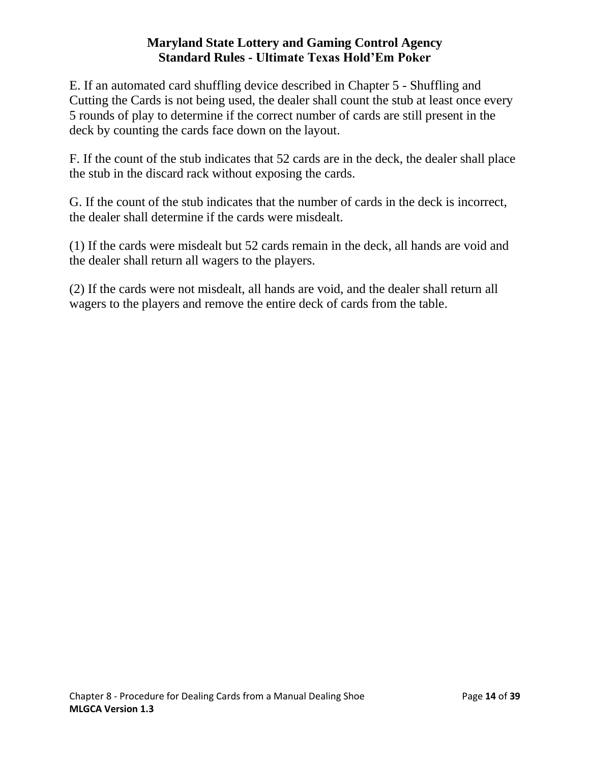E. If an automated card shuffling device described in Chapter 5 - Shuffling and Cutting the Cards is not being used, the dealer shall count the stub at least once every 5 rounds of play to determine if the correct number of cards are still present in the deck by counting the cards face down on the layout.

F. If the count of the stub indicates that 52 cards are in the deck, the dealer shall place the stub in the discard rack without exposing the cards.

G. If the count of the stub indicates that the number of cards in the deck is incorrect, the dealer shall determine if the cards were misdealt.

(1) If the cards were misdealt but 52 cards remain in the deck, all hands are void and the dealer shall return all wagers to the players.

<span id="page-13-0"></span>(2) If the cards were not misdealt, all hands are void, and the dealer shall return all wagers to the players and remove the entire deck of cards from the table.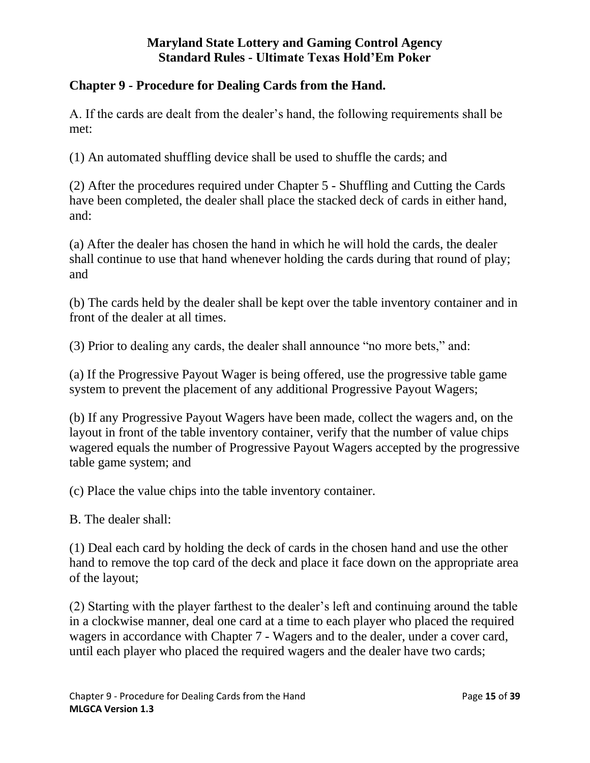### **Chapter 9 - Procedure for Dealing Cards from the Hand.**

A. If the cards are dealt from the dealer's hand, the following requirements shall be met:

(1) An automated shuffling device shall be used to shuffle the cards; and

(2) After the procedures required under Chapter 5 - Shuffling and Cutting the Cards have been completed, the dealer shall place the stacked deck of cards in either hand, and:

(a) After the dealer has chosen the hand in which he will hold the cards, the dealer shall continue to use that hand whenever holding the cards during that round of play; and

(b) The cards held by the dealer shall be kept over the table inventory container and in front of the dealer at all times.

(3) Prior to dealing any cards, the dealer shall announce "no more bets," and:

(a) If the Progressive Payout Wager is being offered, use the progressive table game system to prevent the placement of any additional Progressive Payout Wagers;

(b) If any Progressive Payout Wagers have been made, collect the wagers and, on the layout in front of the table inventory container, verify that the number of value chips wagered equals the number of Progressive Payout Wagers accepted by the progressive table game system; and

(c) Place the value chips into the table inventory container.

B. The dealer shall:

(1) Deal each card by holding the deck of cards in the chosen hand and use the other hand to remove the top card of the deck and place it face down on the appropriate area of the layout;

(2) Starting with the player farthest to the dealer's left and continuing around the table in a clockwise manner, deal one card at a time to each player who placed the required wagers in accordance with Chapter 7 - Wagers and to the dealer, under a cover card, until each player who placed the required wagers and the dealer have two cards;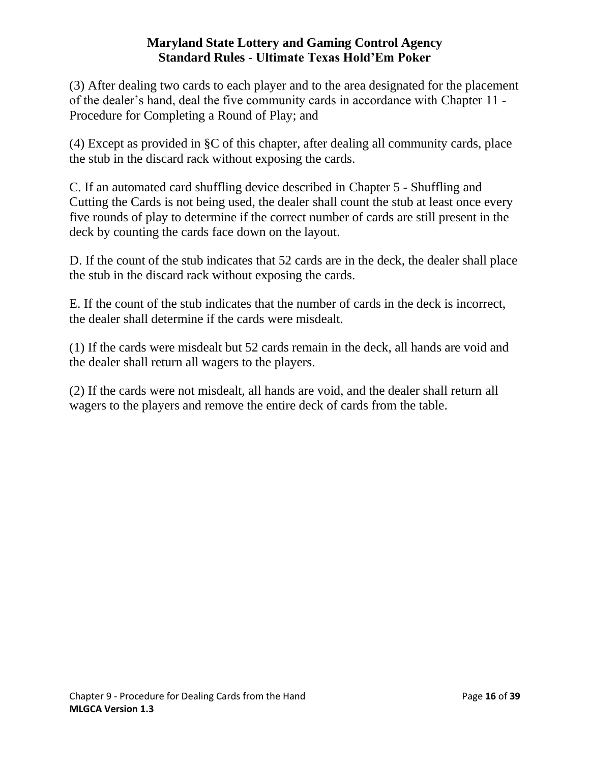(3) After dealing two cards to each player and to the area designated for the placement of the dealer's hand, deal the five community cards in accordance with Chapter 11 - Procedure for Completing a Round of Play; and

(4) Except as provided in §C of this chapter, after dealing all community cards, place the stub in the discard rack without exposing the cards.

C. If an automated card shuffling device described in Chapter 5 - Shuffling and Cutting the Cards is not being used, the dealer shall count the stub at least once every five rounds of play to determine if the correct number of cards are still present in the deck by counting the cards face down on the layout.

D. If the count of the stub indicates that 52 cards are in the deck, the dealer shall place the stub in the discard rack without exposing the cards.

E. If the count of the stub indicates that the number of cards in the deck is incorrect, the dealer shall determine if the cards were misdealt.

(1) If the cards were misdealt but 52 cards remain in the deck, all hands are void and the dealer shall return all wagers to the players.

<span id="page-15-0"></span>(2) If the cards were not misdealt, all hands are void, and the dealer shall return all wagers to the players and remove the entire deck of cards from the table.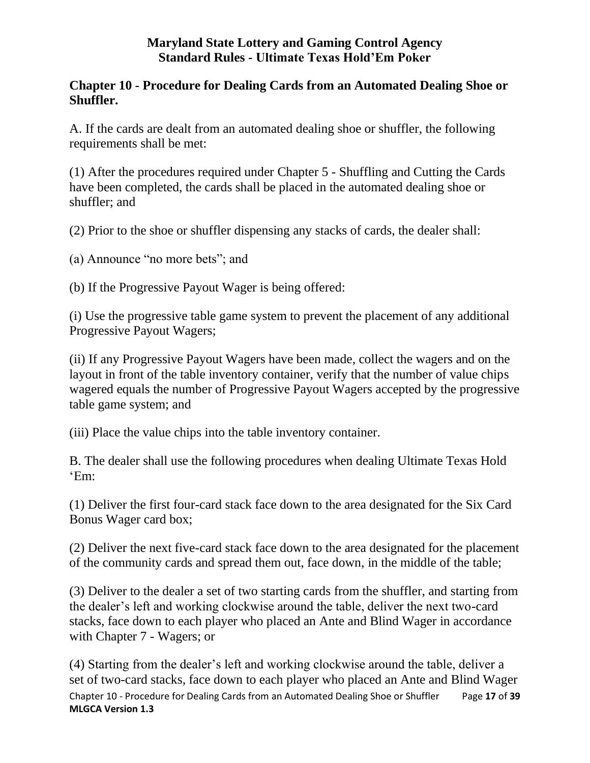### **Chapter 10 - Procedure for Dealing Cards from an Automated Dealing Shoe or Shuffler.**

A. If the cards are dealt from an automated dealing shoe or shuffler, the following requirements shall be met:

(1) After the procedures required under Chapter 5 - Shuffling and Cutting the Cards have been completed, the cards shall be placed in the automated dealing shoe or shuffler; and

(2) Prior to the shoe or shuffler dispensing any stacks of cards, the dealer shall:

(a) Announce "no more bets"; and

(b) If the Progressive Payout Wager is being offered:

(i) Use the progressive table game system to prevent the placement of any additional Progressive Payout Wagers;

(ii) If any Progressive Payout Wagers have been made, collect the wagers and on the layout in front of the table inventory container, verify that the number of value chips wagered equals the number of Progressive Payout Wagers accepted by the progressive table game system; and

(iii) Place the value chips into the table inventory container.

B. The dealer shall use the following procedures when dealing Ultimate Texas Hold 'Em:

(1) Deliver the first four-card stack face down to the area designated for the Six Card Bonus Wager card box;

(2) Deliver the next five-card stack face down to the area designated for the placement of the community cards and spread them out, face down, in the middle of the table;

(3) Deliver to the dealer a set of two starting cards from the shuffler, and starting from the dealer's left and working clockwise around the table, deliver the next two-card stacks, face down to each player who placed an Ante and Blind Wager in accordance with Chapter 7 - Wagers; or

Chapter 10 - Procedure for Dealing Cards from an Automated Dealing Shoe or Shuffler Page **17** of **39 MLGCA Version 1.3** (4) Starting from the dealer's left and working clockwise around the table, deliver a set of two-card stacks, face down to each player who placed an Ante and Blind Wager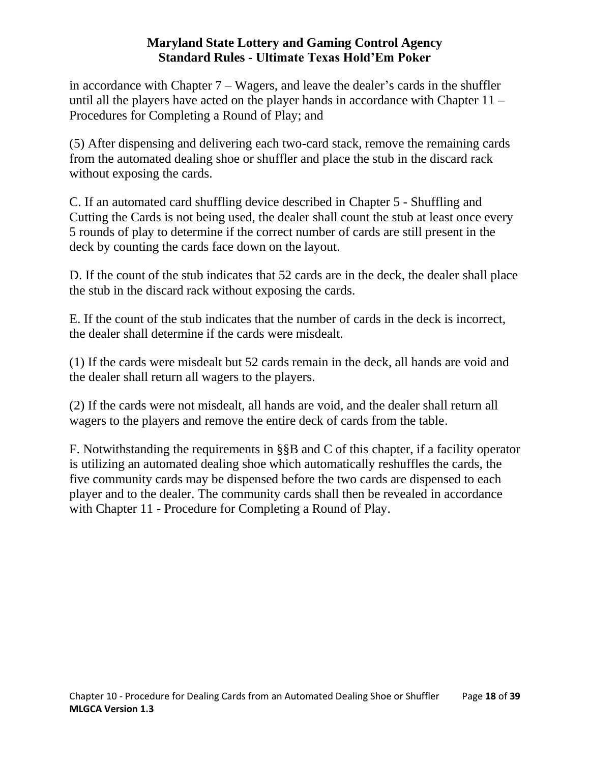in accordance with Chapter 7 – Wagers, and leave the dealer's cards in the shuffler until all the players have acted on the player hands in accordance with Chapter 11 – Procedures for Completing a Round of Play; and

(5) After dispensing and delivering each two-card stack, remove the remaining cards from the automated dealing shoe or shuffler and place the stub in the discard rack without exposing the cards.

C. If an automated card shuffling device described in Chapter 5 - Shuffling and Cutting the Cards is not being used, the dealer shall count the stub at least once every 5 rounds of play to determine if the correct number of cards are still present in the deck by counting the cards face down on the layout.

D. If the count of the stub indicates that 52 cards are in the deck, the dealer shall place the stub in the discard rack without exposing the cards.

E. If the count of the stub indicates that the number of cards in the deck is incorrect, the dealer shall determine if the cards were misdealt.

(1) If the cards were misdealt but 52 cards remain in the deck, all hands are void and the dealer shall return all wagers to the players.

(2) If the cards were not misdealt, all hands are void, and the dealer shall return all wagers to the players and remove the entire deck of cards from the table.

<span id="page-17-0"></span>F. Notwithstanding the requirements in §§B and C of this chapter, if a facility operator is utilizing an automated dealing shoe which automatically reshuffles the cards, the five community cards may be dispensed before the two cards are dispensed to each player and to the dealer. The community cards shall then be revealed in accordance with Chapter 11 - Procedure for Completing a Round of Play.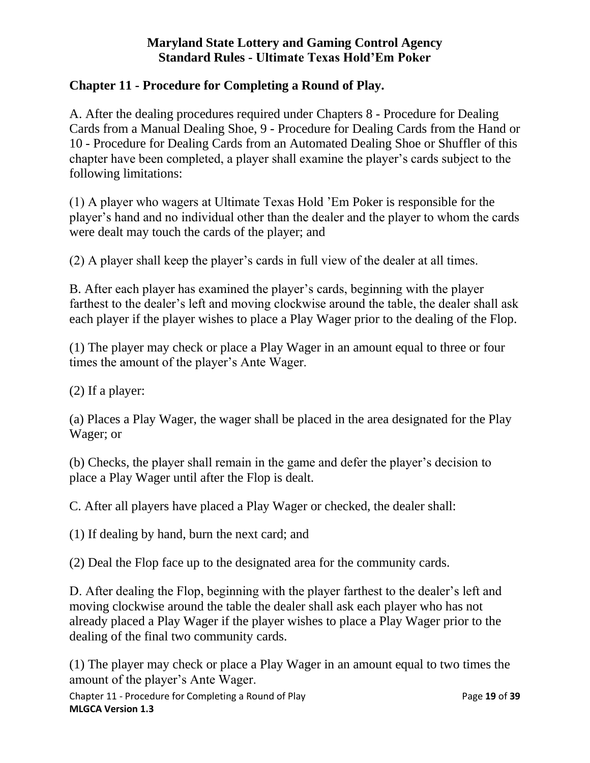### **Chapter 11 - Procedure for Completing a Round of Play.**

A. After the dealing procedures required under Chapters 8 - Procedure for Dealing Cards from a Manual Dealing Shoe, 9 - Procedure for Dealing Cards from the Hand or 10 - Procedure for Dealing Cards from an Automated Dealing Shoe or Shuffler of this chapter have been completed, a player shall examine the player's cards subject to the following limitations:

(1) A player who wagers at Ultimate Texas Hold 'Em Poker is responsible for the player's hand and no individual other than the dealer and the player to whom the cards were dealt may touch the cards of the player; and

(2) A player shall keep the player's cards in full view of the dealer at all times.

B. After each player has examined the player's cards, beginning with the player farthest to the dealer's left and moving clockwise around the table, the dealer shall ask each player if the player wishes to place a Play Wager prior to the dealing of the Flop.

(1) The player may check or place a Play Wager in an amount equal to three or four times the amount of the player's Ante Wager.

(2) If a player:

(a) Places a Play Wager, the wager shall be placed in the area designated for the Play Wager; or

(b) Checks, the player shall remain in the game and defer the player's decision to place a Play Wager until after the Flop is dealt.

C. After all players have placed a Play Wager or checked, the dealer shall:

(1) If dealing by hand, burn the next card; and

(2) Deal the Flop face up to the designated area for the community cards.

D. After dealing the Flop, beginning with the player farthest to the dealer's left and moving clockwise around the table the dealer shall ask each player who has not already placed a Play Wager if the player wishes to place a Play Wager prior to the dealing of the final two community cards.

(1) The player may check or place a Play Wager in an amount equal to two times the amount of the player's Ante Wager.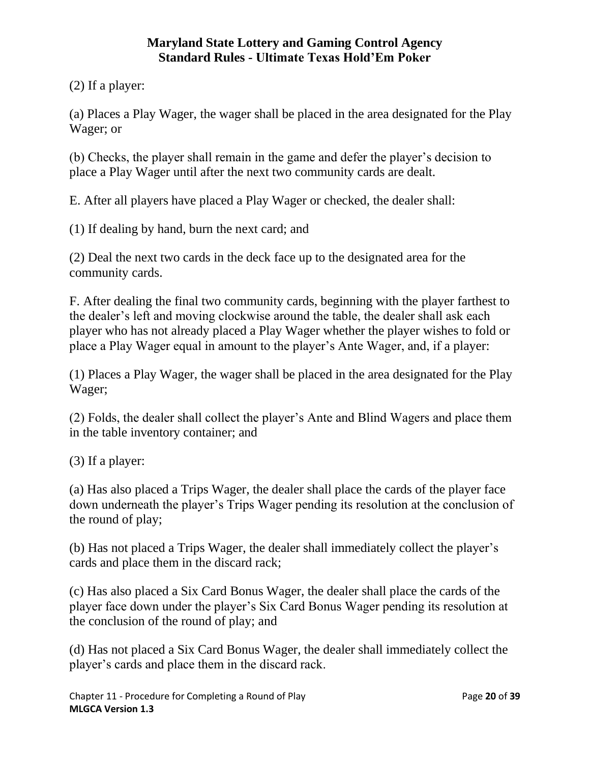(2) If a player:

(a) Places a Play Wager, the wager shall be placed in the area designated for the Play Wager; or

(b) Checks, the player shall remain in the game and defer the player's decision to place a Play Wager until after the next two community cards are dealt.

E. After all players have placed a Play Wager or checked, the dealer shall:

(1) If dealing by hand, burn the next card; and

(2) Deal the next two cards in the deck face up to the designated area for the community cards.

F. After dealing the final two community cards, beginning with the player farthest to the dealer's left and moving clockwise around the table, the dealer shall ask each player who has not already placed a Play Wager whether the player wishes to fold or place a Play Wager equal in amount to the player's Ante Wager, and, if a player:

(1) Places a Play Wager, the wager shall be placed in the area designated for the Play Wager;

(2) Folds, the dealer shall collect the player's Ante and Blind Wagers and place them in the table inventory container; and

(3) If a player:

(a) Has also placed a Trips Wager, the dealer shall place the cards of the player face down underneath the player's Trips Wager pending its resolution at the conclusion of the round of play;

(b) Has not placed a Trips Wager, the dealer shall immediately collect the player's cards and place them in the discard rack;

(c) Has also placed a Six Card Bonus Wager, the dealer shall place the cards of the player face down under the player's Six Card Bonus Wager pending its resolution at the conclusion of the round of play; and

(d) Has not placed a Six Card Bonus Wager, the dealer shall immediately collect the player's cards and place them in the discard rack.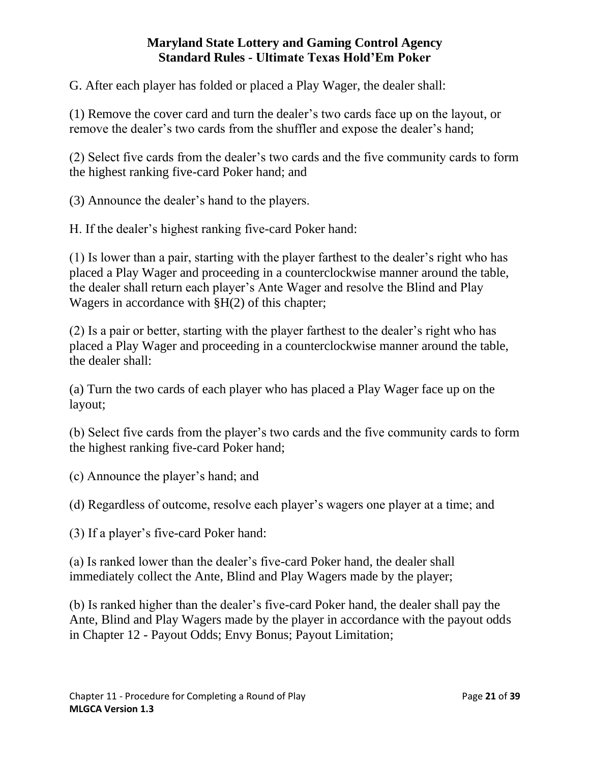G. After each player has folded or placed a Play Wager, the dealer shall:

(1) Remove the cover card and turn the dealer's two cards face up on the layout, or remove the dealer's two cards from the shuffler and expose the dealer's hand;

(2) Select five cards from the dealer's two cards and the five community cards to form the highest ranking five-card Poker hand; and

(3) Announce the dealer's hand to the players.

H. If the dealer's highest ranking five-card Poker hand:

(1) Is lower than a pair, starting with the player farthest to the dealer's right who has placed a Play Wager and proceeding in a counterclockwise manner around the table, the dealer shall return each player's Ante Wager and resolve the Blind and Play Wagers in accordance with §H(2) of this chapter;

(2) Is a pair or better, starting with the player farthest to the dealer's right who has placed a Play Wager and proceeding in a counterclockwise manner around the table, the dealer shall:

(a) Turn the two cards of each player who has placed a Play Wager face up on the layout;

(b) Select five cards from the player's two cards and the five community cards to form the highest ranking five-card Poker hand;

(c) Announce the player's hand; and

(d) Regardless of outcome, resolve each player's wagers one player at a time; and

(3) If a player's five-card Poker hand:

(a) Is ranked lower than the dealer's five-card Poker hand, the dealer shall immediately collect the Ante, Blind and Play Wagers made by the player;

(b) Is ranked higher than the dealer's five-card Poker hand, the dealer shall pay the Ante, Blind and Play Wagers made by the player in accordance with the payout odds in Chapter 12 - Payout Odds; Envy Bonus; Payout Limitation;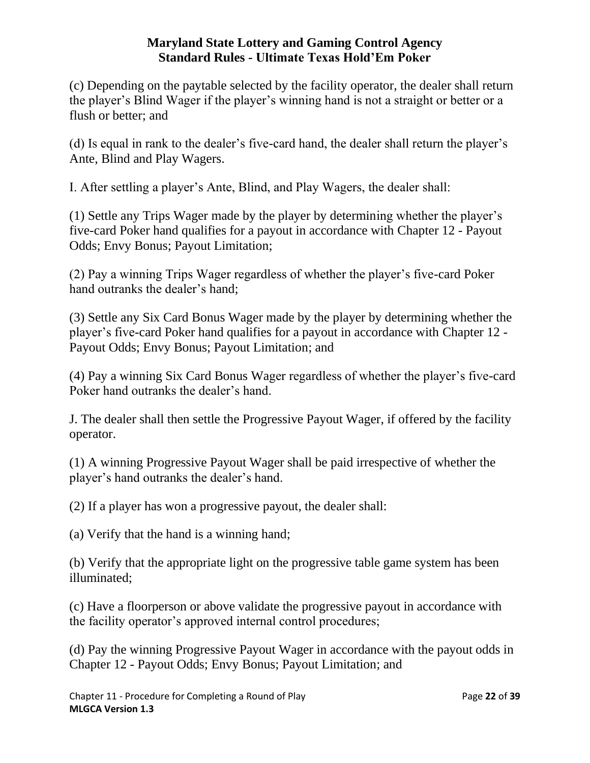(c) Depending on the paytable selected by the facility operator, the dealer shall return the player's Blind Wager if the player's winning hand is not a straight or better or a flush or better; and

(d) Is equal in rank to the dealer's five-card hand, the dealer shall return the player's Ante, Blind and Play Wagers.

I. After settling a player's Ante, Blind, and Play Wagers, the dealer shall:

(1) Settle any Trips Wager made by the player by determining whether the player's five-card Poker hand qualifies for a payout in accordance with Chapter 12 - Payout Odds; Envy Bonus; Payout Limitation;

(2) Pay a winning Trips Wager regardless of whether the player's five-card Poker hand outranks the dealer's hand;

(3) Settle any Six Card Bonus Wager made by the player by determining whether the player's five-card Poker hand qualifies for a payout in accordance with Chapter 12 - Payout Odds; Envy Bonus; Payout Limitation; and

(4) Pay a winning Six Card Bonus Wager regardless of whether the player's five-card Poker hand outranks the dealer's hand.

J. The dealer shall then settle the Progressive Payout Wager, if offered by the facility operator.

(1) A winning Progressive Payout Wager shall be paid irrespective of whether the player's hand outranks the dealer's hand.

(2) If a player has won a progressive payout, the dealer shall:

(a) Verify that the hand is a winning hand;

(b) Verify that the appropriate light on the progressive table game system has been illuminated;

(c) Have a floorperson or above validate the progressive payout in accordance with the facility operator's approved internal control procedures;

(d) Pay the winning Progressive Payout Wager in accordance with the payout odds in Chapter 12 - Payout Odds; Envy Bonus; Payout Limitation; and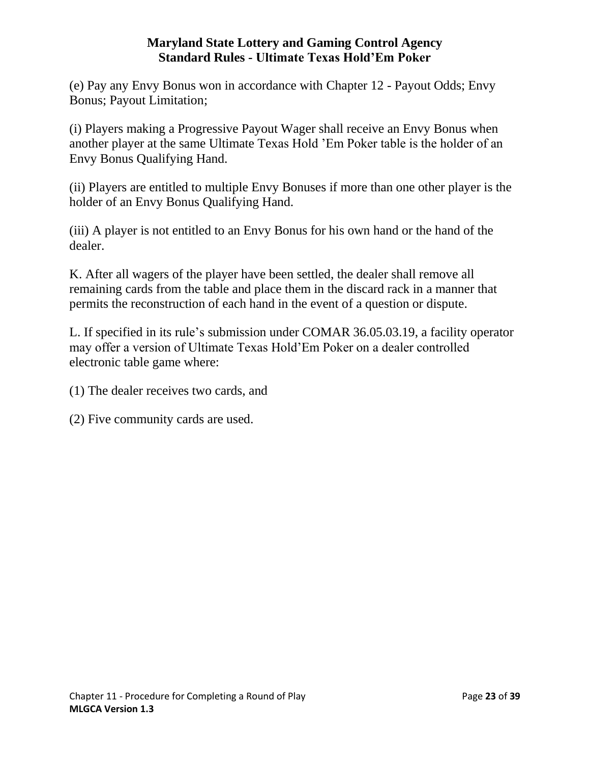(e) Pay any Envy Bonus won in accordance with Chapter 12 - Payout Odds; Envy Bonus; Payout Limitation;

(i) Players making a Progressive Payout Wager shall receive an Envy Bonus when another player at the same Ultimate Texas Hold 'Em Poker table is the holder of an Envy Bonus Qualifying Hand.

(ii) Players are entitled to multiple Envy Bonuses if more than one other player is the holder of an Envy Bonus Qualifying Hand.

(iii) A player is not entitled to an Envy Bonus for his own hand or the hand of the dealer.

K. After all wagers of the player have been settled, the dealer shall remove all remaining cards from the table and place them in the discard rack in a manner that permits the reconstruction of each hand in the event of a question or dispute.

L. If specified in its rule's submission under COMAR 36.05.03.19, a facility operator may offer a version of Ultimate Texas Hold'Em Poker on a dealer controlled electronic table game where:

(1) The dealer receives two cards, and

<span id="page-22-0"></span>(2) Five community cards are used.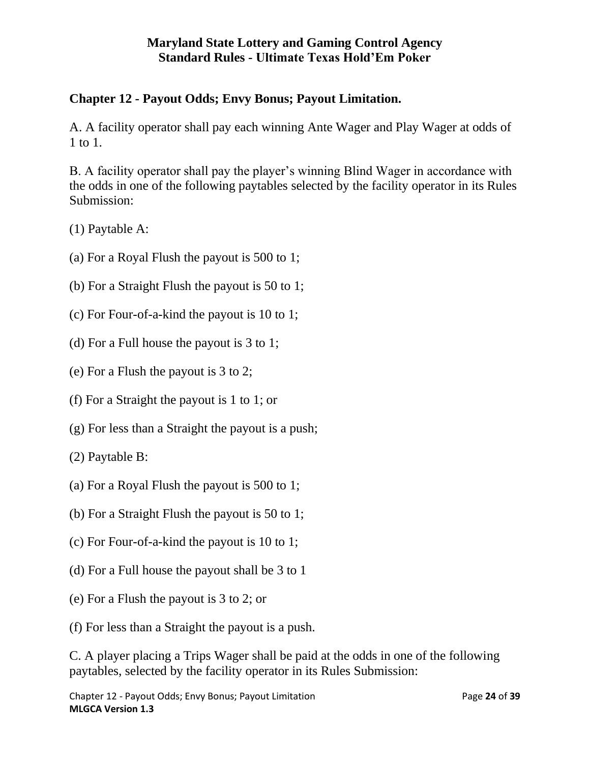# **Chapter 12 - Payout Odds; Envy Bonus; Payout Limitation.**

A. A facility operator shall pay each winning Ante Wager and Play Wager at odds of 1 to 1.

B. A facility operator shall pay the player's winning Blind Wager in accordance with the odds in one of the following paytables selected by the facility operator in its Rules Submission:

(1) Paytable A:

- (a) For a Royal Flush the payout is 500 to 1;
- (b) For a Straight Flush the payout is 50 to 1;
- (c) For Four-of-a-kind the payout is 10 to 1;
- (d) For a Full house the payout is 3 to 1;
- (e) For a Flush the payout is 3 to 2;
- (f) For a Straight the payout is 1 to 1; or
- (g) For less than a Straight the payout is a push;
- (2) Paytable B:
- (a) For a Royal Flush the payout is 500 to 1;
- (b) For a Straight Flush the payout is 50 to 1;
- (c) For Four-of-a-kind the payout is 10 to 1;
- (d) For a Full house the payout shall be 3 to 1
- (e) For a Flush the payout is 3 to 2; or
- (f) For less than a Straight the payout is a push.

C. A player placing a Trips Wager shall be paid at the odds in one of the following paytables, selected by the facility operator in its Rules Submission: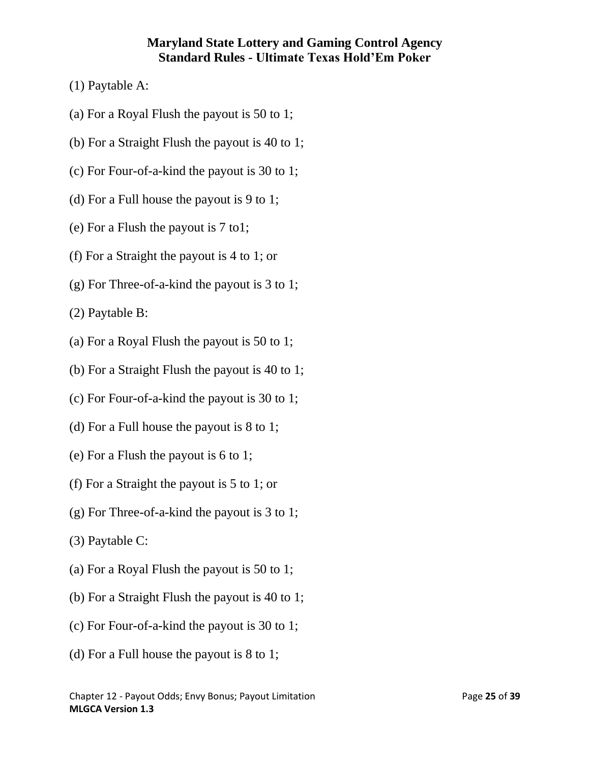- (1) Paytable A:
- (a) For a Royal Flush the payout is 50 to 1;
- (b) For a Straight Flush the payout is 40 to 1;
- (c) For Four-of-a-kind the payout is 30 to 1;
- (d) For a Full house the payout is 9 to 1;
- (e) For a Flush the payout is 7 to1;
- (f) For a Straight the payout is 4 to 1; or
- (g) For Three-of-a-kind the payout is 3 to 1;

(2) Paytable B:

- (a) For a Royal Flush the payout is 50 to 1;
- (b) For a Straight Flush the payout is 40 to 1;
- (c) For Four-of-a-kind the payout is 30 to 1;
- (d) For a Full house the payout is 8 to 1;
- (e) For a Flush the payout is 6 to 1;
- (f) For a Straight the payout is 5 to 1; or
- (g) For Three-of-a-kind the payout is 3 to 1;
- (3) Paytable C:
- (a) For a Royal Flush the payout is 50 to 1;
- (b) For a Straight Flush the payout is 40 to 1;
- (c) For Four-of-a-kind the payout is 30 to 1;
- (d) For a Full house the payout is 8 to 1;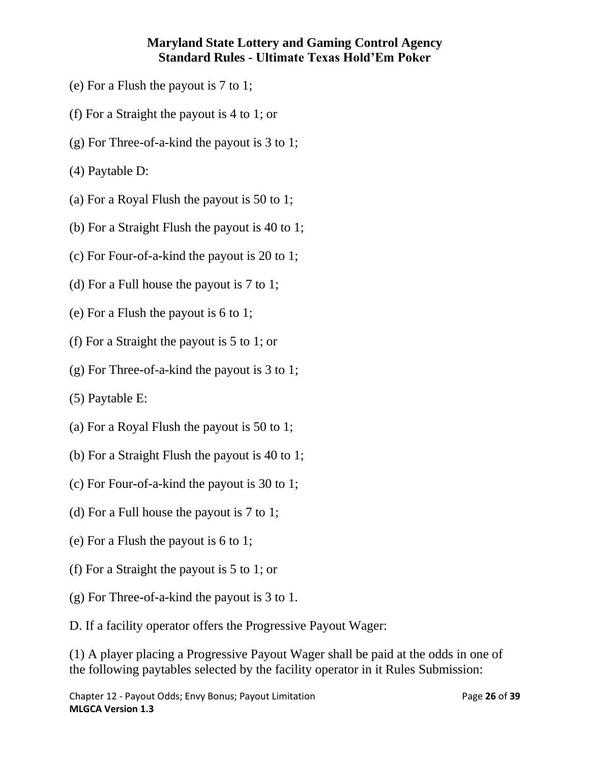- (e) For a Flush the payout is 7 to 1;
- (f) For a Straight the payout is 4 to 1; or
- (g) For Three-of-a-kind the payout is 3 to 1;
- (4) Paytable D:
- (a) For a Royal Flush the payout is 50 to 1;
- (b) For a Straight Flush the payout is 40 to 1;
- (c) For Four-of-a-kind the payout is 20 to 1;
- (d) For a Full house the payout is 7 to 1;
- (e) For a Flush the payout is 6 to 1;
- (f) For a Straight the payout is 5 to 1; or
- (g) For Three-of-a-kind the payout is 3 to 1;
- (5) Paytable E:
- (a) For a Royal Flush the payout is 50 to 1;
- (b) For a Straight Flush the payout is 40 to 1;
- (c) For Four-of-a-kind the payout is 30 to 1;
- (d) For a Full house the payout is 7 to 1;
- (e) For a Flush the payout is 6 to 1;
- (f) For a Straight the payout is 5 to 1; or
- (g) For Three-of-a-kind the payout is 3 to 1.
- D. If a facility operator offers the Progressive Payout Wager:

(1) A player placing a Progressive Payout Wager shall be paid at the odds in one of the following paytables selected by the facility operator in it Rules Submission: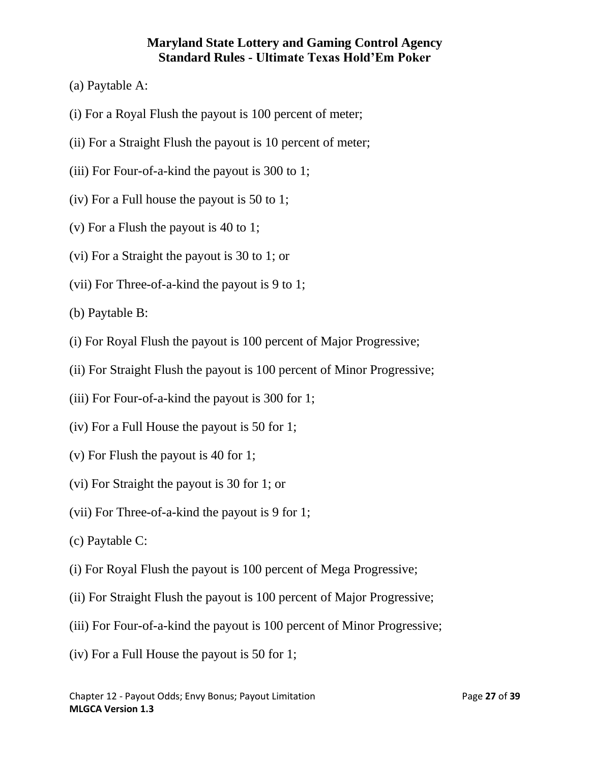- (a) Paytable A:
- (i) For a Royal Flush the payout is 100 percent of meter;
- (ii) For a Straight Flush the payout is 10 percent of meter;
- (iii) For Four-of-a-kind the payout is 300 to 1;
- (iv) For a Full house the payout is 50 to 1;
- (v) For a Flush the payout is 40 to 1;
- (vi) For a Straight the payout is 30 to 1; or
- (vii) For Three-of-a-kind the payout is 9 to 1;

(b) Paytable B:

- (i) For Royal Flush the payout is 100 percent of Major Progressive;
- (ii) For Straight Flush the payout is 100 percent of Minor Progressive;
- (iii) For Four-of-a-kind the payout is 300 for 1;
- (iv) For a Full House the payout is 50 for 1;
- (v) For Flush the payout is 40 for 1;
- (vi) For Straight the payout is 30 for 1; or
- (vii) For Three-of-a-kind the payout is 9 for 1;
- (c) Paytable C:
- (i) For Royal Flush the payout is 100 percent of Mega Progressive;
- (ii) For Straight Flush the payout is 100 percent of Major Progressive;
- (iii) For Four-of-a-kind the payout is 100 percent of Minor Progressive;
- (iv) For a Full House the payout is 50 for 1;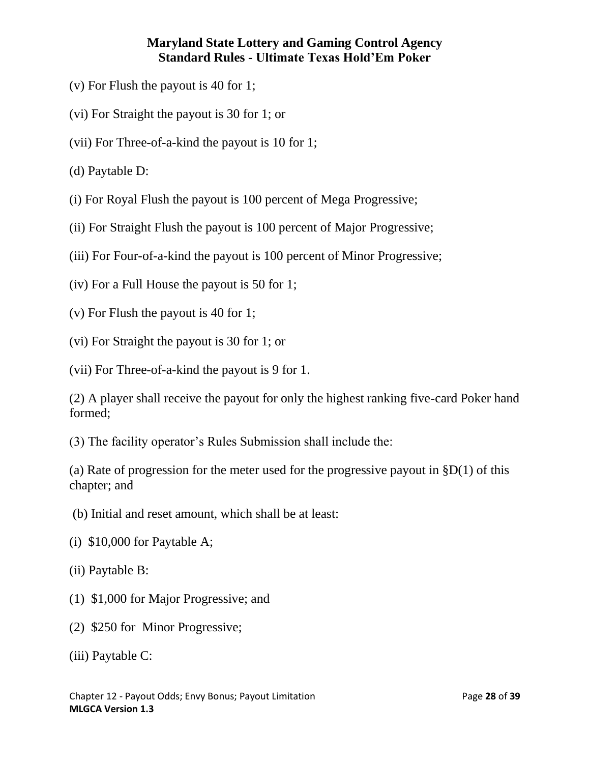- (v) For Flush the payout is 40 for 1;
- (vi) For Straight the payout is 30 for 1; or
- (vii) For Three-of-a-kind the payout is 10 for 1;
- (d) Paytable D:
- (i) For Royal Flush the payout is 100 percent of Mega Progressive;
- (ii) For Straight Flush the payout is 100 percent of Major Progressive;
- (iii) For Four-of-a-kind the payout is 100 percent of Minor Progressive;
- (iv) For a Full House the payout is 50 for 1;
- (v) For Flush the payout is 40 for 1;
- (vi) For Straight the payout is 30 for 1; or
- (vii) For Three-of-a-kind the payout is 9 for 1.
- (2) A player shall receive the payout for only the highest ranking five-card Poker hand formed;
- (3) The facility operator's Rules Submission shall include the:
- (a) Rate of progression for the meter used for the progressive payout in  $$D(1)$  of this chapter; and
- (b) Initial and reset amount, which shall be at least:
- (i) \$10,000 for Paytable A;
- (ii) Paytable B:
- (1) \$1,000 for Major Progressive; and
- (2) \$250 for Minor Progressive;
- (iii) Paytable C: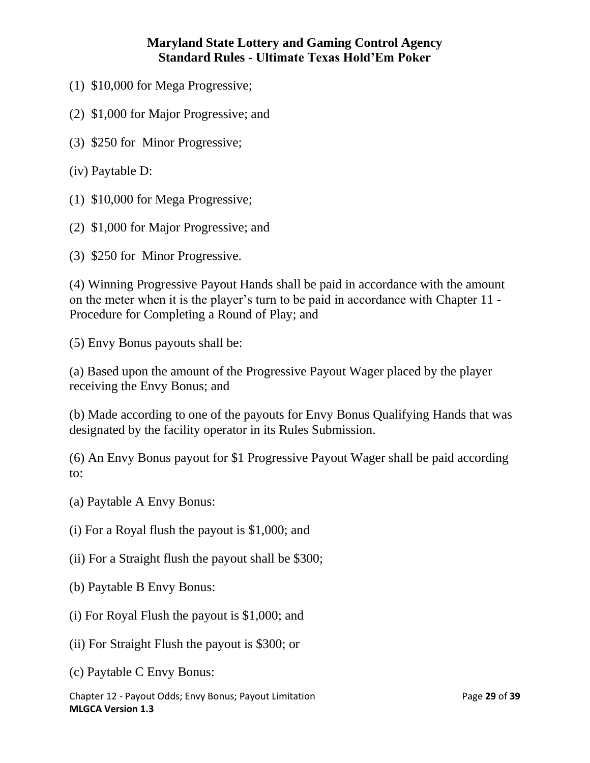- (1) \$10,000 for Mega Progressive;
- (2) \$1,000 for Major Progressive; and
- (3) \$250 for Minor Progressive;
- (iv) Paytable D:
- (1) \$10,000 for Mega Progressive;
- (2) \$1,000 for Major Progressive; and
- (3) \$250 for Minor Progressive.

(4) Winning Progressive Payout Hands shall be paid in accordance with the amount on the meter when it is the player's turn to be paid in accordance with Chapter 11 - Procedure for Completing a Round of Play; and

(5) Envy Bonus payouts shall be:

(a) Based upon the amount of the Progressive Payout Wager placed by the player receiving the Envy Bonus; and

(b) Made according to one of the payouts for Envy Bonus Qualifying Hands that was designated by the facility operator in its Rules Submission.

(6) An Envy Bonus payout for \$1 Progressive Payout Wager shall be paid according to:

- (a) Paytable A Envy Bonus:
- (i) For a Royal flush the payout is \$1,000; and
- (ii) For a Straight flush the payout shall be \$300;
- (b) Paytable B Envy Bonus:
- (i) For Royal Flush the payout is \$1,000; and
- (ii) For Straight Flush the payout is \$300; or
- (c) Paytable C Envy Bonus:

Chapter 12 - Payout Odds; Envy Bonus; Payout Limitation Page **29** of **39 MLGCA Version 1.3**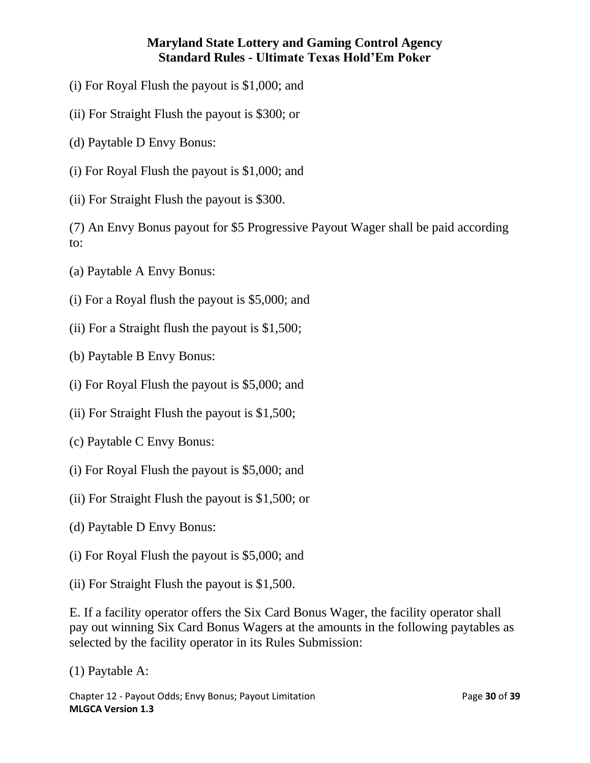- (i) For Royal Flush the payout is \$1,000; and
- (ii) For Straight Flush the payout is \$300; or
- (d) Paytable D Envy Bonus:
- (i) For Royal Flush the payout is \$1,000; and
- (ii) For Straight Flush the payout is \$300.

(7) An Envy Bonus payout for \$5 Progressive Payout Wager shall be paid according to:

- (a) Paytable A Envy Bonus:
- (i) For a Royal flush the payout is \$5,000; and
- (ii) For a Straight flush the payout is \$1,500;
- (b) Paytable B Envy Bonus:
- (i) For Royal Flush the payout is \$5,000; and
- (ii) For Straight Flush the payout is \$1,500;
- (c) Paytable C Envy Bonus:
- (i) For Royal Flush the payout is \$5,000; and
- (ii) For Straight Flush the payout is \$1,500; or
- (d) Paytable D Envy Bonus:
- (i) For Royal Flush the payout is \$5,000; and
- (ii) For Straight Flush the payout is \$1,500.

E. If a facility operator offers the Six Card Bonus Wager, the facility operator shall pay out winning Six Card Bonus Wagers at the amounts in the following paytables as selected by the facility operator in its Rules Submission:

(1) Paytable A:

Chapter 12 - Payout Odds; Envy Bonus; Payout Limitation Page **30** of **39 MLGCA Version 1.3**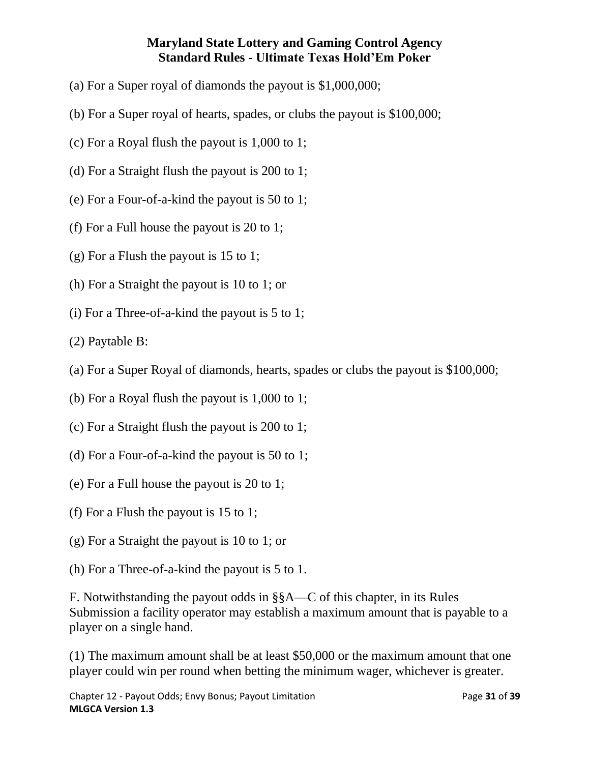- (a) For a Super royal of diamonds the payout is \$1,000,000;
- (b) For a Super royal of hearts, spades, or clubs the payout is \$100,000;
- (c) For a Royal flush the payout is 1,000 to 1;
- (d) For a Straight flush the payout is 200 to 1;
- (e) For a Four-of-a-kind the payout is 50 to 1;
- (f) For a Full house the payout is 20 to 1;
- (g) For a Flush the payout is 15 to 1;
- (h) For a Straight the payout is 10 to 1; or
- (i) For a Three-of-a-kind the payout is 5 to 1;
- (2) Paytable B:
- (a) For a Super Royal of diamonds, hearts, spades or clubs the payout is \$100,000;
- (b) For a Royal flush the payout is 1,000 to 1;
- (c) For a Straight flush the payout is 200 to 1;
- (d) For a Four-of-a-kind the payout is 50 to 1;
- (e) For a Full house the payout is 20 to 1;
- (f) For a Flush the payout is 15 to 1;
- (g) For a Straight the payout is 10 to 1; or
- (h) For a Three-of-a-kind the payout is 5 to 1.

F. Notwithstanding the payout odds in §§A—C of this chapter, in its Rules Submission a facility operator may establish a maximum amount that is payable to a player on a single hand.

(1) The maximum amount shall be at least \$50,000 or the maximum amount that one player could win per round when betting the minimum wager, whichever is greater.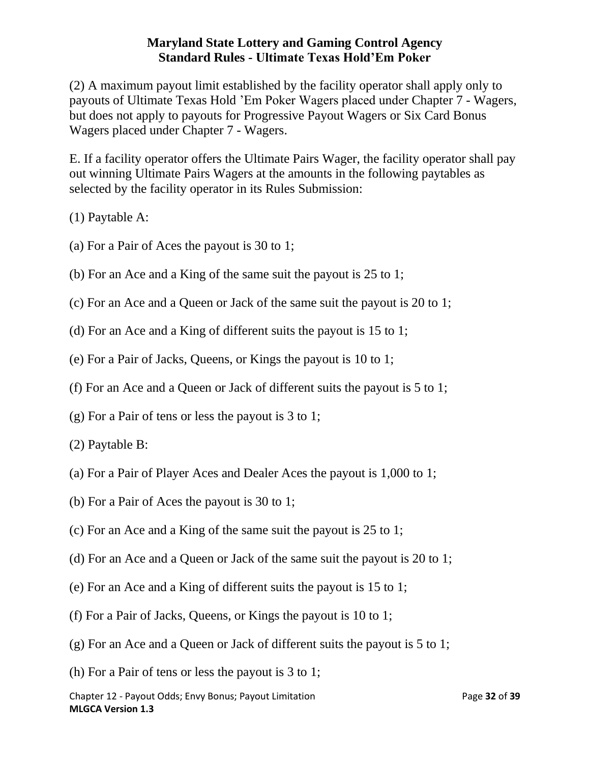(2) A maximum payout limit established by the facility operator shall apply only to payouts of Ultimate Texas Hold 'Em Poker Wagers placed under Chapter 7 - Wagers, but does not apply to payouts for Progressive Payout Wagers or Six Card Bonus Wagers placed under Chapter 7 - Wagers.

E. If a facility operator offers the Ultimate Pairs Wager, the facility operator shall pay out winning Ultimate Pairs Wagers at the amounts in the following paytables as selected by the facility operator in its Rules Submission:

(1) Paytable A:

- (a) For a Pair of Aces the payout is 30 to 1;
- (b) For an Ace and a King of the same suit the payout is 25 to 1;
- (c) For an Ace and a Queen or Jack of the same suit the payout is 20 to 1;
- (d) For an Ace and a King of different suits the payout is 15 to 1;
- (e) For a Pair of Jacks, Queens, or Kings the payout is 10 to 1;
- (f) For an Ace and a Queen or Jack of different suits the payout is 5 to 1;
- (g) For a Pair of tens or less the payout is 3 to 1;
- (2) Paytable B:
- (a) For a Pair of Player Aces and Dealer Aces the payout is 1,000 to 1;
- (b) For a Pair of Aces the payout is 30 to 1;
- (c) For an Ace and a King of the same suit the payout is 25 to 1;
- (d) For an Ace and a Queen or Jack of the same suit the payout is 20 to 1;
- (e) For an Ace and a King of different suits the payout is 15 to 1;
- (f) For a Pair of Jacks, Queens, or Kings the payout is 10 to 1;
- (g) For an Ace and a Queen or Jack of different suits the payout is 5 to 1;
- (h) For a Pair of tens or less the payout is 3 to 1;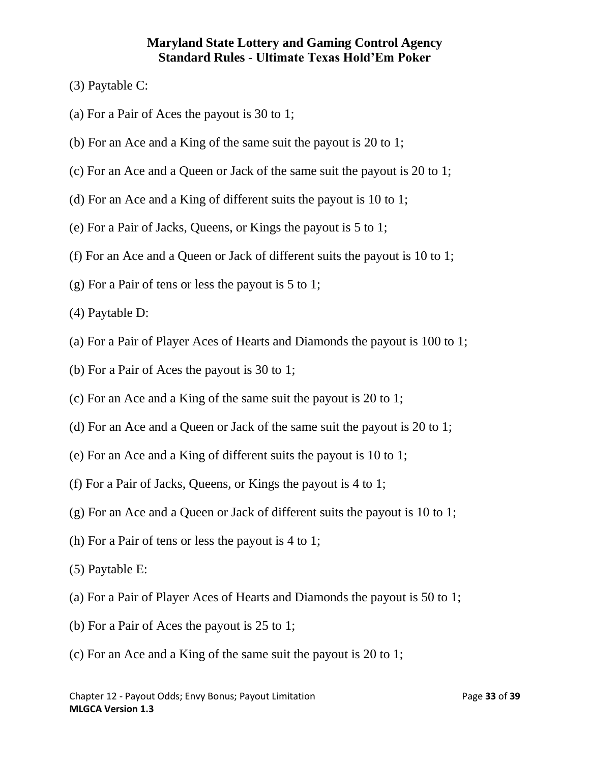- (3) Paytable C:
- (a) For a Pair of Aces the payout is 30 to 1;
- (b) For an Ace and a King of the same suit the payout is 20 to 1;
- (c) For an Ace and a Queen or Jack of the same suit the payout is 20 to 1;
- (d) For an Ace and a King of different suits the payout is 10 to 1;
- (e) For a Pair of Jacks, Queens, or Kings the payout is 5 to 1;
- (f) For an Ace and a Queen or Jack of different suits the payout is 10 to 1;
- (g) For a Pair of tens or less the payout is 5 to 1;
- (4) Paytable D:
- (a) For a Pair of Player Aces of Hearts and Diamonds the payout is 100 to 1;
- (b) For a Pair of Aces the payout is 30 to 1;
- (c) For an Ace and a King of the same suit the payout is 20 to 1;
- (d) For an Ace and a Queen or Jack of the same suit the payout is 20 to 1;
- (e) For an Ace and a King of different suits the payout is 10 to 1;
- (f) For a Pair of Jacks, Queens, or Kings the payout is 4 to 1;
- (g) For an Ace and a Queen or Jack of different suits the payout is 10 to 1;
- (h) For a Pair of tens or less the payout is 4 to 1;
- (5) Paytable E:
- (a) For a Pair of Player Aces of Hearts and Diamonds the payout is 50 to 1;
- (b) For a Pair of Aces the payout is 25 to 1;
- (c) For an Ace and a King of the same suit the payout is 20 to 1;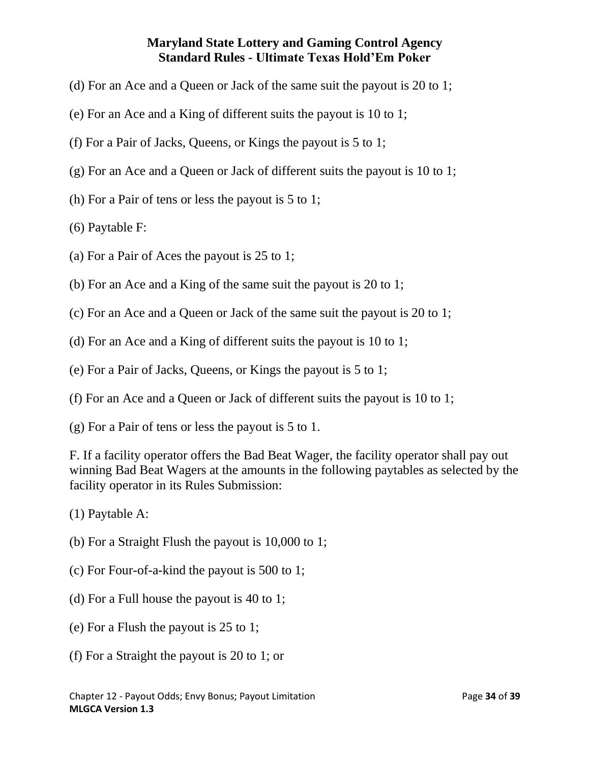- (d) For an Ace and a Queen or Jack of the same suit the payout is 20 to 1;
- (e) For an Ace and a King of different suits the payout is 10 to 1;
- (f) For a Pair of Jacks, Queens, or Kings the payout is 5 to 1;
- (g) For an Ace and a Queen or Jack of different suits the payout is 10 to 1;
- (h) For a Pair of tens or less the payout is 5 to 1;
- (6) Paytable F:
- (a) For a Pair of Aces the payout is 25 to 1;
- (b) For an Ace and a King of the same suit the payout is 20 to 1;
- (c) For an Ace and a Queen or Jack of the same suit the payout is 20 to 1;
- (d) For an Ace and a King of different suits the payout is 10 to 1;
- (e) For a Pair of Jacks, Queens, or Kings the payout is 5 to 1;
- (f) For an Ace and a Queen or Jack of different suits the payout is 10 to 1;
- (g) For a Pair of tens or less the payout is 5 to 1.

F. If a facility operator offers the Bad Beat Wager, the facility operator shall pay out winning Bad Beat Wagers at the amounts in the following paytables as selected by the facility operator in its Rules Submission:

- (1) Paytable A:
- (b) For a Straight Flush the payout is 10,000 to 1;
- (c) For Four-of-a-kind the payout is 500 to 1;
- (d) For a Full house the payout is 40 to 1;
- (e) For a Flush the payout is 25 to 1;
- (f) For a Straight the payout is 20 to 1; or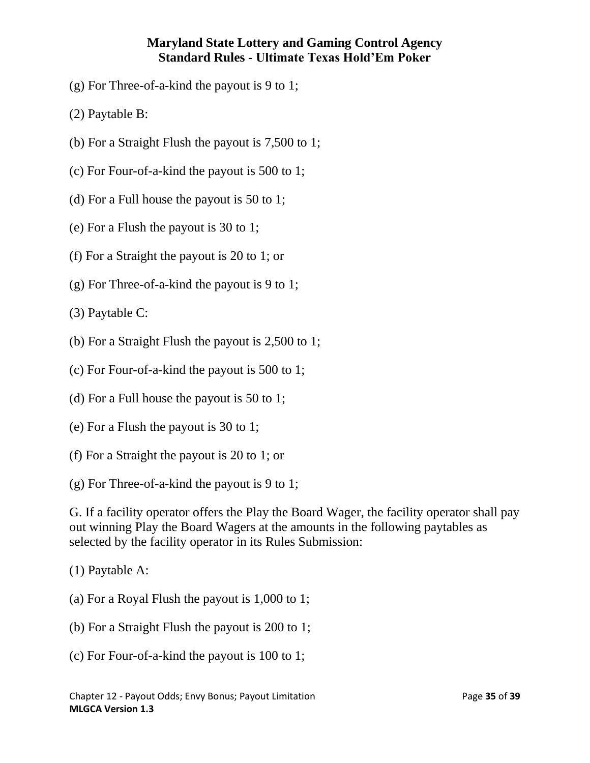- (g) For Three-of-a-kind the payout is 9 to 1;
- (2) Paytable B:
- (b) For a Straight Flush the payout is 7,500 to 1;
- (c) For Four-of-a-kind the payout is 500 to 1;
- (d) For a Full house the payout is 50 to 1;
- (e) For a Flush the payout is 30 to 1;
- (f) For a Straight the payout is 20 to 1; or
- (g) For Three-of-a-kind the payout is 9 to 1;
- (3) Paytable C:
- (b) For a Straight Flush the payout is 2,500 to 1;
- (c) For Four-of-a-kind the payout is 500 to 1;
- (d) For a Full house the payout is 50 to 1;
- (e) For a Flush the payout is 30 to 1;
- (f) For a Straight the payout is 20 to 1; or
- (g) For Three-of-a-kind the payout is 9 to 1;

G. If a facility operator offers the Play the Board Wager, the facility operator shall pay out winning Play the Board Wagers at the amounts in the following paytables as selected by the facility operator in its Rules Submission:

- (1) Paytable A:
- (a) For a Royal Flush the payout is 1,000 to 1;
- (b) For a Straight Flush the payout is 200 to 1;
- (c) For Four-of-a-kind the payout is 100 to 1;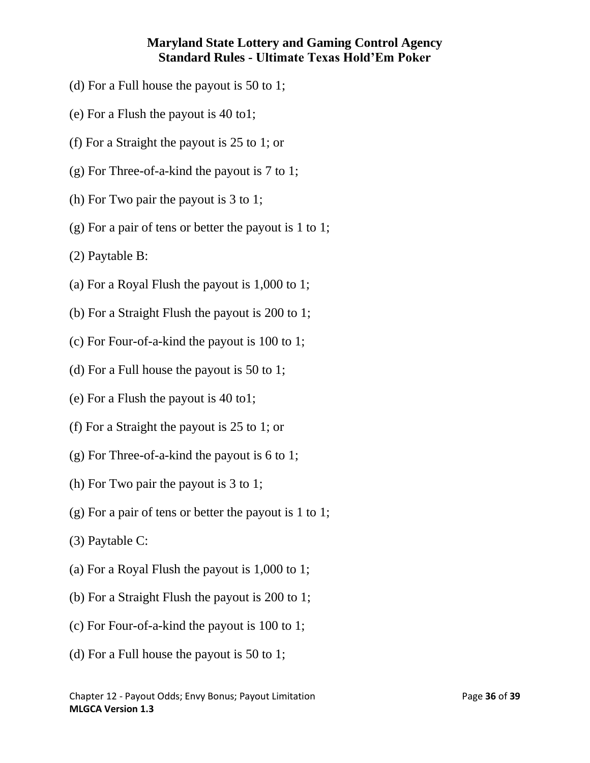- (d) For a Full house the payout is 50 to 1;
- (e) For a Flush the payout is 40 to1;
- (f) For a Straight the payout is 25 to 1; or
- (g) For Three-of-a-kind the payout is 7 to 1;
- (h) For Two pair the payout is 3 to 1;
- <span id="page-35-0"></span>(g) For a pair of tens or better the payout is 1 to 1;
- (2) Paytable B:
- (a) For a Royal Flush the payout is 1,000 to 1;
- (b) For a Straight Flush the payout is 200 to 1;
- (c) For Four-of-a-kind the payout is 100 to 1;
- (d) For a Full house the payout is 50 to 1;
- (e) For a Flush the payout is 40 to1;
- (f) For a Straight the payout is 25 to 1; or
- (g) For Three-of-a-kind the payout is 6 to 1;
- (h) For Two pair the payout is 3 to 1;
- (g) For a pair of tens or better the payout is 1 to 1;
- (3) Paytable C:
- (a) For a Royal Flush the payout is 1,000 to 1;
- (b) For a Straight Flush the payout is 200 to 1;
- (c) For Four-of-a-kind the payout is 100 to 1;
- (d) For a Full house the payout is 50 to 1;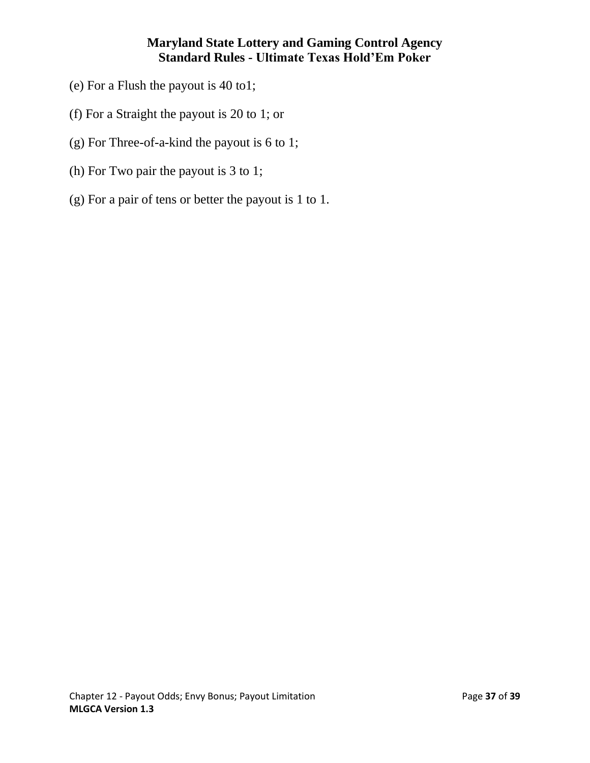- (e) For a Flush the payout is 40 to1;
- (f) For a Straight the payout is 20 to 1; or
- (g) For Three-of-a-kind the payout is 6 to 1;
- (h) For Two pair the payout is 3 to 1;
- (g) For a pair of tens or better the payout is 1 to 1.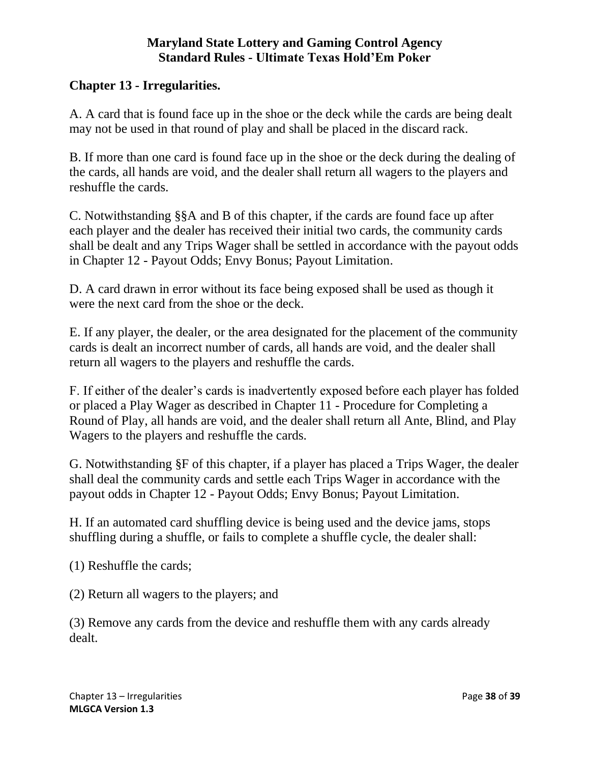### **Chapter 13 - Irregularities.**

A. A card that is found face up in the shoe or the deck while the cards are being dealt may not be used in that round of play and shall be placed in the discard rack.

B. If more than one card is found face up in the shoe or the deck during the dealing of the cards, all hands are void, and the dealer shall return all wagers to the players and reshuffle the cards.

C. Notwithstanding §§A and B of this chapter, if the cards are found face up after each player and the dealer has received their initial two cards, the community cards shall be dealt and any Trips Wager shall be settled in accordance with the payout odds in Chapter 12 - Payout Odds; Envy Bonus; Payout Limitation.

D. A card drawn in error without its face being exposed shall be used as though it were the next card from the shoe or the deck.

E. If any player, the dealer, or the area designated for the placement of the community cards is dealt an incorrect number of cards, all hands are void, and the dealer shall return all wagers to the players and reshuffle the cards.

F. If either of the dealer's cards is inadvertently exposed before each player has folded or placed a Play Wager as described in Chapter 11 - Procedure for Completing a Round of Play, all hands are void, and the dealer shall return all Ante, Blind, and Play Wagers to the players and reshuffle the cards.

G. Notwithstanding §F of this chapter, if a player has placed a Trips Wager, the dealer shall deal the community cards and settle each Trips Wager in accordance with the payout odds in Chapter 12 - Payout Odds; Envy Bonus; Payout Limitation.

H. If an automated card shuffling device is being used and the device jams, stops shuffling during a shuffle, or fails to complete a shuffle cycle, the dealer shall:

(1) Reshuffle the cards;

(2) Return all wagers to the players; and

(3) Remove any cards from the device and reshuffle them with any cards already dealt.